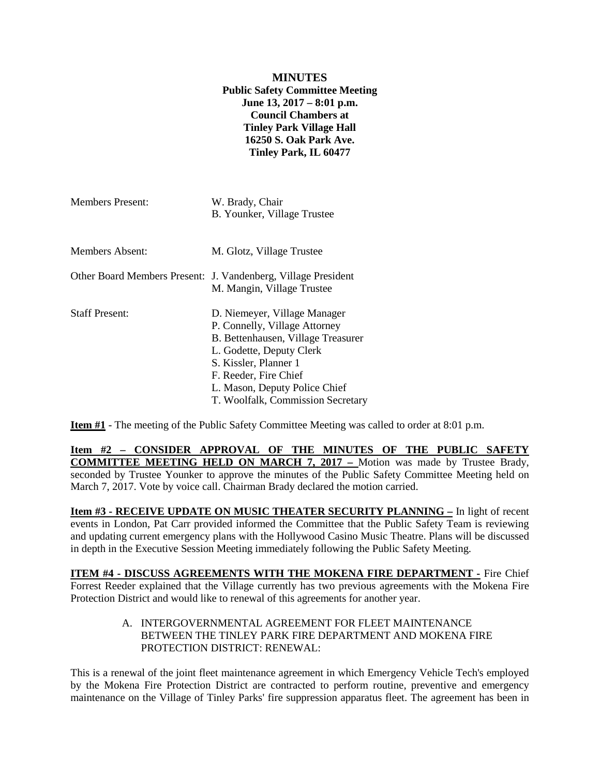### **MINUTES Public Safety Committee Meeting June 13, 2017 – 8:01 p.m. Council Chambers at Tinley Park Village Hall 16250 S. Oak Park Ave. Tinley Park, IL 60477**

| <b>Members Present:</b> | W. Brady, Chair<br>B. Younker, Village Trustee                                                                                                                                                                                                          |
|-------------------------|---------------------------------------------------------------------------------------------------------------------------------------------------------------------------------------------------------------------------------------------------------|
| Members Absent:         | M. Glotz, Village Trustee                                                                                                                                                                                                                               |
|                         | Other Board Members Present: J. Vandenberg, Village President<br>M. Mangin, Village Trustee                                                                                                                                                             |
| <b>Staff Present:</b>   | D. Niemeyer, Village Manager<br>P. Connelly, Village Attorney<br>B. Bettenhausen, Village Treasurer<br>L. Godette, Deputy Clerk<br>S. Kissler, Planner 1<br>F. Reeder, Fire Chief<br>L. Mason, Deputy Police Chief<br>T. Woolfalk, Commission Secretary |

**Item #1** - The meeting of the Public Safety Committee Meeting was called to order at 8:01 p.m.

**Item #2 – CONSIDER APPROVAL OF THE MINUTES OF THE PUBLIC SAFETY COMMITTEE MEETING HELD ON MARCH 7, 2017 –** Motion was made by Trustee Brady, seconded by Trustee Younker to approve the minutes of the Public Safety Committee Meeting held on March 7, 2017. Vote by voice call. Chairman Brady declared the motion carried.

**Item #3 - RECEIVE UPDATE ON MUSIC THEATER SECURITY PLANNING –** In light of recent events in London, Pat Carr provided informed the Committee that the Public Safety Team is reviewing and updating current emergency plans with the Hollywood Casino Music Theatre. Plans will be discussed in depth in the Executive Session Meeting immediately following the Public Safety Meeting.

**ITEM #4 - DISCUSS AGREEMENTS WITH THE MOKENA FIRE DEPARTMENT -** Fire Chief Forrest Reeder explained that the Village currently has two previous agreements with the Mokena Fire Protection District and would like to renewal of this agreements for another year.

### A. INTERGOVERNMENTAL AGREEMENT FOR FLEET MAINTENANCE BETWEEN THE TINLEY PARK FIRE DEPARTMENT AND MOKENA FIRE PROTECTION DISTRICT: RENEWAL:

This is a renewal of the joint fleet maintenance agreement in which Emergency Vehicle Tech's employed by the Mokena Fire Protection District are contracted to perform routine, preventive and emergency maintenance on the Village of Tinley Parks' fire suppression apparatus fleet. The agreement has been in